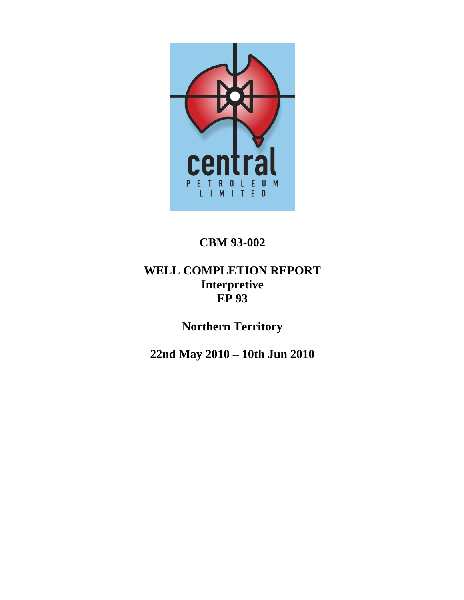

# **CBM 93-002**

# **WELL COMPLETION REPORT Interpretive EP 93**

**Northern Territory**

**22nd May 2010 – 10th Jun 2010**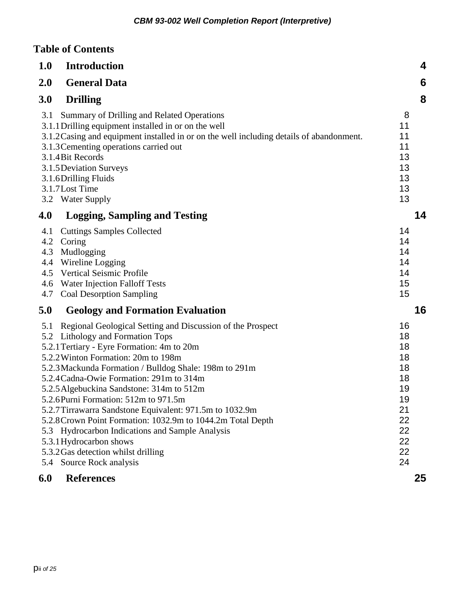## **Table of Contents**

| 1.0                                           | <b>Introduction</b>                                                                                                                                                                                                                                                                                                                                                                                                                                                                                                                                                                                                                                     | 4                                                                                |
|-----------------------------------------------|---------------------------------------------------------------------------------------------------------------------------------------------------------------------------------------------------------------------------------------------------------------------------------------------------------------------------------------------------------------------------------------------------------------------------------------------------------------------------------------------------------------------------------------------------------------------------------------------------------------------------------------------------------|----------------------------------------------------------------------------------|
| 2.0                                           | <b>General Data</b>                                                                                                                                                                                                                                                                                                                                                                                                                                                                                                                                                                                                                                     | 6                                                                                |
| 3.0                                           | <b>Drilling</b>                                                                                                                                                                                                                                                                                                                                                                                                                                                                                                                                                                                                                                         | 8                                                                                |
| 3.1                                           | Summary of Drilling and Related Operations<br>3.1.1 Drilling equipment installed in or on the well<br>3.1.2 Casing and equipment installed in or on the well including details of abandonment.<br>3.1.3 Cementing operations carried out<br>3.1.4 Bit Records<br>3.1.5 Deviation Surveys<br>3.1.6 Drilling Fluids<br>3.1.7 Lost Time<br>3.2 Water Supply                                                                                                                                                                                                                                                                                                | 8<br>11<br>11<br>11<br>13<br>13<br>13<br>13<br>13                                |
| 4.0                                           | <b>Logging, Sampling and Testing</b>                                                                                                                                                                                                                                                                                                                                                                                                                                                                                                                                                                                                                    | 14                                                                               |
| 4.1<br>4.2<br>4.3<br>4.4<br>4.5<br>4.6<br>4.7 | <b>Cuttings Samples Collected</b><br>Coring<br>Mudlogging<br>Wireline Logging<br><b>Vertical Seismic Profile</b><br>Water Injection Falloff Tests<br><b>Coal Desorption Sampling</b>                                                                                                                                                                                                                                                                                                                                                                                                                                                                    | 14<br>14<br>14<br>14<br>14<br>15<br>15                                           |
| 5.0                                           | <b>Geology and Formation Evaluation</b>                                                                                                                                                                                                                                                                                                                                                                                                                                                                                                                                                                                                                 | 16                                                                               |
| 5.1<br>5.4                                    | Regional Geological Setting and Discussion of the Prospect<br>5.2 Lithology and Formation Tops<br>5.2.1 Tertiary - Eyre Formation: 4m to 20m<br>5.2.2 Winton Formation: 20m to 198m<br>5.2.3 Mackunda Formation / Bulldog Shale: 198m to 291m<br>5.2.4 Cadna-Owie Formation: 291m to 314m<br>5.2.5 Algebuckina Sandstone: 314m to 512m<br>5.2.6 Purni Formation: 512m to 971.5m<br>5.2.7 Tirrawarra Sandstone Equivalent: 971.5m to 1032.9m<br>5.2.8 Crown Point Formation: 1032.9m to 1044.2m Total Depth<br>5.3 Hydrocarbon Indications and Sample Analysis<br>5.3.1 Hydrocarbon shows<br>5.3.2 Gas detection whilst drilling<br>Source Rock analysis | 16<br>18<br>18<br>18<br>18<br>18<br>19<br>19<br>21<br>22<br>22<br>22<br>22<br>24 |
| 6.0                                           | <b>References</b>                                                                                                                                                                                                                                                                                                                                                                                                                                                                                                                                                                                                                                       | 25                                                                               |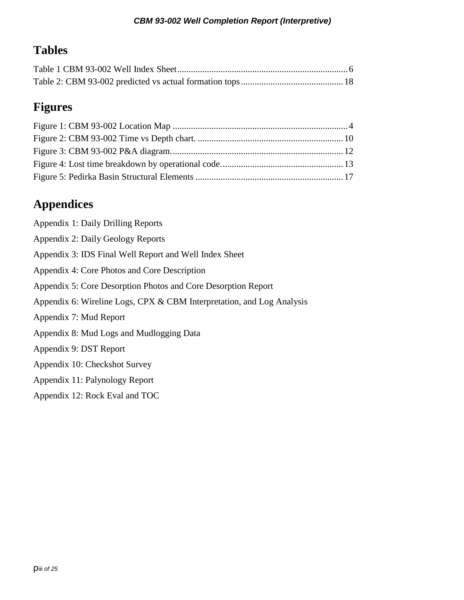# **Tables**

# **Figures**

# **Appendices**

| Appendix 1: Daily Drilling Reports                                    |
|-----------------------------------------------------------------------|
| Appendix 2: Daily Geology Reports                                     |
| Appendix 3: IDS Final Well Report and Well Index Sheet                |
| Appendix 4: Core Photos and Core Description                          |
| Appendix 5: Core Desorption Photos and Core Desorption Report         |
| Appendix 6: Wireline Logs, CPX & CBM Interpretation, and Log Analysis |
| Appendix 7: Mud Report                                                |
| Appendix 8: Mud Logs and Mudlogging Data                              |
| Appendix 9: DST Report                                                |
| Appendix 10: Checkshot Survey                                         |
| Appendix 11: Palynology Report                                        |
| Appendix 12: Rock Eval and TOC                                        |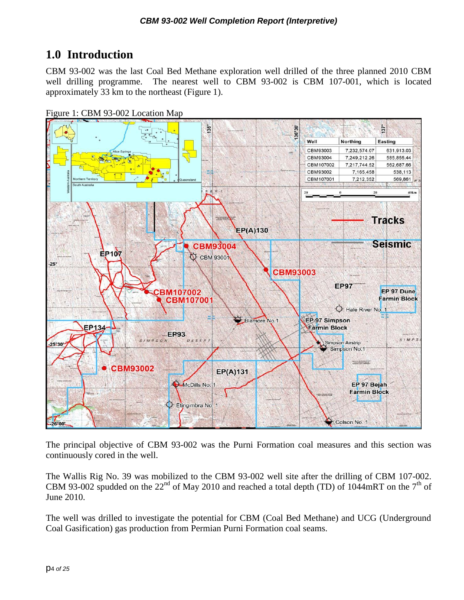# <span id="page-3-0"></span>**1.0 Introduction**

CBM 93-002 was the last Coal Bed Methane exploration well drilled of the three planned 2010 CBM well drilling programme. The nearest well to CBM 93-002 is CBM 107-001, which is located approximately 33 km to the northeast (Figure 1).

<span id="page-3-1"></span>



The principal objective of CBM 93-002 was the Purni Formation coal measures and this section was continuously cored in the well.

The Wallis Rig No. 39 was mobilized to the CBM 93-002 well site after the drilling of CBM 107-002. CBM 93-002 spudded on the 22<sup>nd</sup> of May 2010 and reached a total depth (TD) of 1044mRT on the 7<sup>th</sup> of June 2010.

The well was drilled to investigate the potential for CBM (Coal Bed Methane) and UCG (Underground Coal Gasification) gas production from Permian Purni Formation coal seams.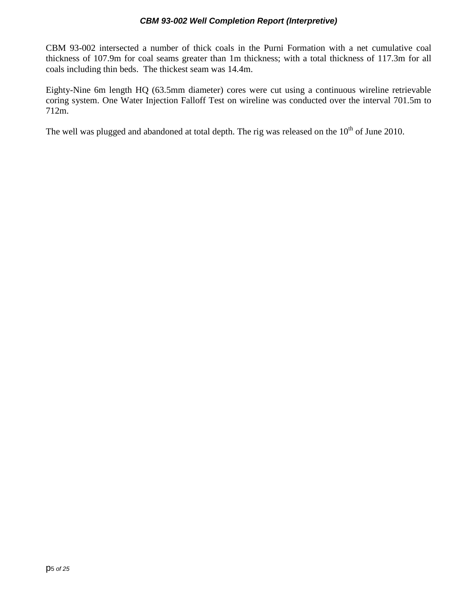CBM 93-002 intersected a number of thick coals in the Purni Formation with a net cumulative coal thickness of 107.9m for coal seams greater than 1m thickness; with a total thickness of 117.3m for all coals including thin beds. The thickest seam was 14.4m.

Eighty-Nine 6m length HQ (63.5mm diameter) cores were cut using a continuous wireline retrievable coring system. One Water Injection Falloff Test on wireline was conducted over the interval 701.5m to 712m.

The well was plugged and abandoned at total depth. The rig was released on the  $10<sup>th</sup>$  of June 2010.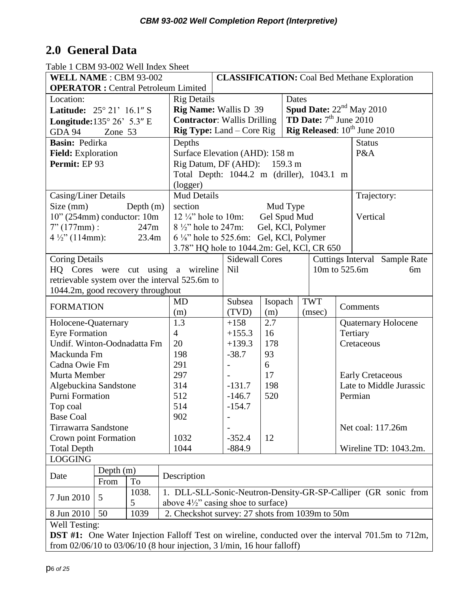# <span id="page-5-0"></span>**2.0 General Data**

Table 1 CBM 93-002 Well Index Sheet

| WELL NAME: CBM 93-002                                                                                    |                                                | <b>CLASSIFICATION:</b> Coal Bed Methane Exploration                            |                   |          |                                 |     |                                   |  |
|----------------------------------------------------------------------------------------------------------|------------------------------------------------|--------------------------------------------------------------------------------|-------------------|----------|---------------------------------|-----|-----------------------------------|--|
| <b>OPERATOR</b> : Central Petroleum Limited                                                              |                                                |                                                                                |                   |          |                                 |     |                                   |  |
| Location:                                                                                                |                                                | <b>Rig Details</b>                                                             |                   |          | Dates                           |     |                                   |  |
| Latitude: 25° 21' 16.1" S                                                                                |                                                | <b>Rig Name:</b> Wallis D 39                                                   |                   |          |                                 |     | <b>Spud Date:</b> $22nd$ May 2010 |  |
| Longitude: $135^{\circ} 26' 5.3''$ E                                                                     |                                                | <b>Contractor:</b> Wallis Drilling                                             |                   |          | <b>TD Date:</b> $7th$ June 2010 |     |                                   |  |
| <b>GDA 94</b><br>Zone 53                                                                                 |                                                | Rig Released: 10 <sup>th</sup> June 2010<br><b>Rig Type:</b> Land $-$ Core Rig |                   |          |                                 |     |                                   |  |
| Basin: Pedirka                                                                                           | Depths                                         |                                                                                |                   |          |                                 |     | <b>Status</b>                     |  |
| Field: Exploration                                                                                       |                                                | Surface Elevation (AHD): 158 m                                                 |                   |          |                                 | P&A |                                   |  |
| Permit: EP 93                                                                                            |                                                | Rig Datum, DF (AHD): 159.3 m                                                   |                   |          |                                 |     |                                   |  |
|                                                                                                          |                                                | Total Depth: 1044.2 m (driller), 1043.1 m                                      |                   |          |                                 |     |                                   |  |
|                                                                                                          | (logger)                                       |                                                                                |                   |          |                                 |     |                                   |  |
| Casing/Liner Details                                                                                     |                                                | <b>Mud Details</b>                                                             |                   |          |                                 |     | Trajectory:                       |  |
| Size (mm)<br>Depth $(m)$                                                                                 | section                                        |                                                                                |                   | Mud Type |                                 |     |                                   |  |
| $10$ " (254mm) conductor: 10m                                                                            | 12 $\frac{1}{4}$ hole to 10m:                  |                                                                                | Gel Spud Mud      |          |                                 |     | Vertical                          |  |
| $7" (177mm)$ :<br>247m                                                                                   | $8\frac{1}{2}$ hole to 247m:                   |                                                                                | Gel, KCl, Polymer |          |                                 |     |                                   |  |
| $4\frac{1}{2}$ " (114mm):<br>23.4m                                                                       |                                                | 6 1/ <sub>8</sub> " hole to 525.6m: Gel, KCl, Polymer                          |                   |          |                                 |     |                                   |  |
|                                                                                                          |                                                | 3.78" HQ hole to 1044.2m: Gel, KCl, CR 650                                     |                   |          |                                 |     |                                   |  |
| <b>Coring Details</b>                                                                                    |                                                | <b>Sidewall Cores</b>                                                          |                   |          |                                 |     | Cuttings Interval Sample Rate     |  |
| HQ Cores were cut using a wireline                                                                       |                                                | <b>Nil</b>                                                                     | 10m to 525.6m     |          |                                 |     | 6m                                |  |
| retrievable system over the interval 525.6m to                                                           |                                                |                                                                                |                   |          |                                 |     |                                   |  |
| 1044.2m, good recovery throughout                                                                        |                                                |                                                                                |                   |          |                                 |     |                                   |  |
|                                                                                                          | <b>MD</b>                                      | Subsea                                                                         | Isopach           |          | <b>TWT</b>                      |     |                                   |  |
| <b>FORMATION</b>                                                                                         | (m)                                            | (TVD)                                                                          | (m)               |          | (msec)                          |     | Comments                          |  |
| Holocene-Quaternary                                                                                      | 1.3                                            | $+158$                                                                         | 2.7               |          |                                 |     | <b>Quaternary Holocene</b>        |  |
| <b>Eyre Formation</b>                                                                                    | $\overline{4}$                                 | $+155.3$                                                                       | 16                |          |                                 |     | Tertiary                          |  |
| Undif. Winton-Oodnadatta Fm                                                                              | 20                                             | $+139.3$                                                                       | 178               |          |                                 |     | Cretaceous                        |  |
| Mackunda Fm                                                                                              | 198                                            | $-38.7$                                                                        | 93                |          |                                 |     |                                   |  |
| Cadna Owie Fm                                                                                            | 291                                            |                                                                                | 6                 |          |                                 |     |                                   |  |
| Murta Member                                                                                             | 297                                            |                                                                                | 17                |          |                                 |     | <b>Early Cretaceous</b>           |  |
| Algebuckina Sandstone                                                                                    | 314                                            | $-131.7$                                                                       | 198               |          |                                 |     | Late to Middle Jurassic           |  |
| Purni Formation                                                                                          | 512                                            | $-146.7$                                                                       | 520               |          |                                 |     | Permian                           |  |
| Top coal                                                                                                 | 514                                            | $-154.7$                                                                       |                   |          |                                 |     |                                   |  |
| <b>Base Coal</b>                                                                                         | 902                                            |                                                                                |                   |          |                                 |     |                                   |  |
| <b>Tirrawarra Sandstone</b>                                                                              |                                                |                                                                                |                   |          |                                 |     | Net coal: 117.26m                 |  |
| Crown point Formation                                                                                    | 1032                                           | $-352.4$                                                                       | 12                |          |                                 |     |                                   |  |
| <b>Total Depth</b>                                                                                       | 1044                                           | $-884.9$                                                                       |                   |          |                                 |     | Wireline TD: 1043.2m.             |  |
| <b>LOGGING</b>                                                                                           |                                                |                                                                                |                   |          |                                 |     |                                   |  |
| Depth $(m)$                                                                                              |                                                |                                                                                |                   |          |                                 |     |                                   |  |
| Date<br>To<br>From                                                                                       | Description                                    |                                                                                |                   |          |                                 |     |                                   |  |
| 1038.                                                                                                    |                                                | 1. DLL-SLL-Sonic-Neutron-Density-GR-SP-Calliper (GR sonic from                 |                   |          |                                 |     |                                   |  |
| 7 Jun 2010<br>5<br>5                                                                                     | above $4\frac{1}{2}$ " casing shoe to surface) |                                                                                |                   |          |                                 |     |                                   |  |
| 8 Jun 2010<br>50<br>1039                                                                                 |                                                | 2. Checkshot survey: 27 shots from 1039m to 50m                                |                   |          |                                 |     |                                   |  |
| Well Testing:                                                                                            |                                                |                                                                                |                   |          |                                 |     |                                   |  |
| <b>DST</b> #1: One Water Injection Falloff Test on wireline, conducted over the interval 701.5m to 712m, |                                                |                                                                                |                   |          |                                 |     |                                   |  |
| from $02/06/10$ to $03/06/10$ (8 hour injection, 3 l/min, 16 hour falloff)                               |                                                |                                                                                |                   |          |                                 |     |                                   |  |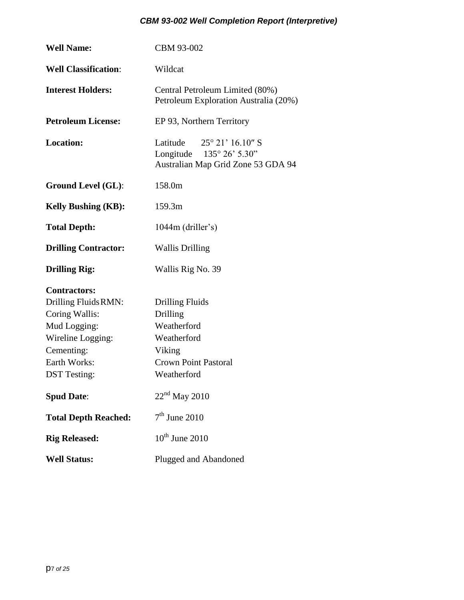| <b>Well Name:</b>           | CBM 93-002                                                                                                      |  |  |  |  |
|-----------------------------|-----------------------------------------------------------------------------------------------------------------|--|--|--|--|
| <b>Well Classification:</b> | Wildcat                                                                                                         |  |  |  |  |
| <b>Interest Holders:</b>    | Central Petroleum Limited (80%)<br>Petroleum Exploration Australia (20%)                                        |  |  |  |  |
| <b>Petroleum License:</b>   | EP 93, Northern Territory                                                                                       |  |  |  |  |
| <b>Location:</b>            | Latitude $25^{\circ} 21' 16.10''$ S<br>Longitude $135^{\circ} 26' 5.30''$<br>Australian Map Grid Zone 53 GDA 94 |  |  |  |  |
| <b>Ground Level (GL):</b>   | 158.0m                                                                                                          |  |  |  |  |
| <b>Kelly Bushing (KB):</b>  | 159.3m                                                                                                          |  |  |  |  |
| <b>Total Depth:</b>         | $1044m$ (driller's)                                                                                             |  |  |  |  |
| <b>Drilling Contractor:</b> | <b>Wallis Drilling</b>                                                                                          |  |  |  |  |
| <b>Drilling Rig:</b>        | Wallis Rig No. 39                                                                                               |  |  |  |  |
| <b>Contractors:</b>         |                                                                                                                 |  |  |  |  |
| Drilling Fluids RMN:        | <b>Drilling Fluids</b>                                                                                          |  |  |  |  |
| Coring Wallis:              | Drilling                                                                                                        |  |  |  |  |
| Mud Logging:                | Weatherford                                                                                                     |  |  |  |  |
| Wireline Logging:           | Weatherford                                                                                                     |  |  |  |  |
| Cementing:                  | Viking                                                                                                          |  |  |  |  |
| Earth Works:                | <b>Crown Point Pastoral</b>                                                                                     |  |  |  |  |
| <b>DST</b> Testing:         | Weatherford                                                                                                     |  |  |  |  |
| <b>Spud Date:</b>           | $22nd$ May 2010                                                                                                 |  |  |  |  |
| <b>Total Depth Reached:</b> | $7th$ June 2010                                                                                                 |  |  |  |  |
| <b>Rig Released:</b>        | $10^{th}$ June 2010                                                                                             |  |  |  |  |
| <b>Well Status:</b>         | Plugged and Abandoned                                                                                           |  |  |  |  |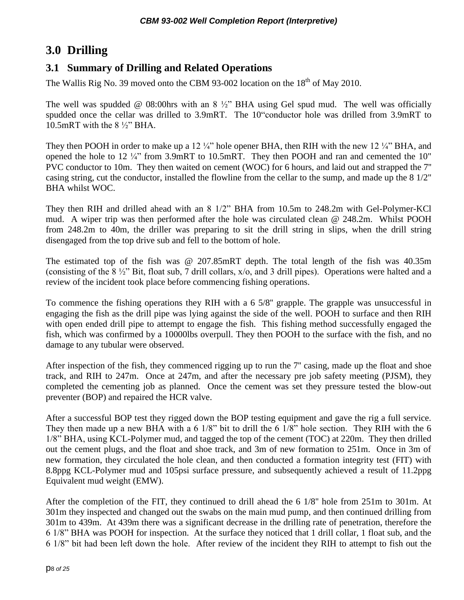## <span id="page-7-0"></span>**3.0 Drilling**

### <span id="page-7-1"></span>**3.1 Summary of Drilling and Related Operations**

The Wallis Rig No. 39 moved onto the CBM 93-002 location on the  $18<sup>th</sup>$  of May 2010.

The well was spudded  $\omega$  08:00hrs with an 8  $\frac{1}{2}$  BHA using Gel spud mud. The well was officially spudded once the cellar was drilled to 3.9mRT. The 10"conductor hole was drilled from 3.9mRT to 10.5mRT with the 8 ½" BHA.

They then POOH in order to make up a 12  $\frac{1}{4}$ " hole opener BHA, then RIH with the new 12  $\frac{1}{4}$ " BHA, and opened the hole to  $12\frac{1}{4}$ " from 3.9mRT to 10.5mRT. They then POOH and ran and cemented the 10" PVC conductor to 10m. They then waited on cement (WOC) for 6 hours, and laid out and strapped the 7'' casing string, cut the conductor, installed the flowline from the cellar to the sump, and made up the 8 1/2" BHA whilst WOC.

They then RIH and drilled ahead with an 8 1/2" BHA from 10.5m to 248.2m with Gel-Polymer-KCl mud. A wiper trip was then performed after the hole was circulated clean @ 248.2m. Whilst POOH from 248.2m to 40m, the driller was preparing to sit the drill string in slips, when the drill string disengaged from the top drive sub and fell to the bottom of hole.

The estimated top of the fish was @ 207.85mRT depth. The total length of the fish was 40.35m (consisting of the 8 ½" Bit, float sub, 7 drill collars, x/o, and 3 drill pipes). Operations were halted and a review of the incident took place before commencing fishing operations.

To commence the fishing operations they RIH with a 6 5/8'' grapple. The grapple was unsuccessful in engaging the fish as the drill pipe was lying against the side of the well. POOH to surface and then RIH with open ended drill pipe to attempt to engage the fish. This fishing method successfully engaged the fish, which was confirmed by a 10000lbs overpull. They then POOH to the surface with the fish, and no damage to any tubular were observed.

After inspection of the fish, they commenced rigging up to run the 7'' casing, made up the float and shoe track, and RIH to 247m. Once at 247m, and after the necessary pre job safety meeting (PJSM), they completed the cementing job as planned. Once the cement was set they pressure tested the blow-out preventer (BOP) and repaired the HCR valve.

After a successful BOP test they rigged down the BOP testing equipment and gave the rig a full service. They then made up a new BHA with a 6 1/8" bit to drill the 6 1/8" hole section. They RIH with the 6 1/8" BHA, using KCL-Polymer mud, and tagged the top of the cement (TOC) at 220m. They then drilled out the cement plugs, and the float and shoe track, and 3m of new formation to 251m. Once in 3m of new formation, they circulated the hole clean, and then conducted a formation integrity test (FIT) with 8.8ppg KCL-Polymer mud and 105psi surface pressure, and subsequently achieved a result of 11.2ppg Equivalent mud weight (EMW).

After the completion of the FIT, they continued to drill ahead the 6 1/8'' hole from 251m to 301m. At 301m they inspected and changed out the swabs on the main mud pump, and then continued drilling from 301m to 439m. At 439m there was a significant decrease in the drilling rate of penetration, therefore the 6 1/8" BHA was POOH for inspection. At the surface they noticed that 1 drill collar, 1 float sub, and the 6 1/8" bit had been left down the hole. After review of the incident they RIH to attempt to fish out the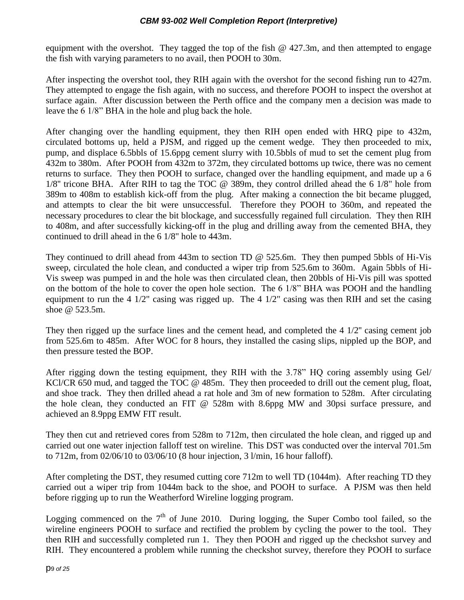equipment with the overshot. They tagged the top of the fish @ 427.3m, and then attempted to engage the fish with varying parameters to no avail, then POOH to 30m.

After inspecting the overshot tool, they RIH again with the overshot for the second fishing run to 427m. They attempted to engage the fish again, with no success, and therefore POOH to inspect the overshot at surface again. After discussion between the Perth office and the company men a decision was made to leave the 6 1/8" BHA in the hole and plug back the hole.

After changing over the handling equipment, they then RIH open ended with HRQ pipe to 432m, circulated bottoms up, held a PJSM, and rigged up the cement wedge. They then proceeded to mix, pump, and displace 6.5bbls of 15.6ppg cement slurry with 10.5bbls of mud to set the cement plug from 432m to 380m. After POOH from 432m to 372m, they circulated bottoms up twice, there was no cement returns to surface. They then POOH to surface, changed over the handling equipment, and made up a 6 1/8'' tricone BHA. After RIH to tag the TOC @ 389m, they control drilled ahead the 6 1/8" hole from 389m to 408m to establish kick-off from the plug. After making a connection the bit became plugged, and attempts to clear the bit were unsuccessful. Therefore they POOH to 360m, and repeated the necessary procedures to clear the bit blockage, and successfully regained full circulation. They then RIH to 408m, and after successfully kicking-off in the plug and drilling away from the cemented BHA, they continued to drill ahead in the 6 1/8" hole to 443m.

They continued to drill ahead from 443m to section TD @ 525.6m. They then pumped 5bbls of Hi-Vis sweep, circulated the hole clean, and conducted a wiper trip from 525.6m to 360m. Again 5bbls of Hi-Vis sweep was pumped in and the hole was then circulated clean, then 20bbls of Hi-Vis pill was spotted on the bottom of the hole to cover the open hole section. The 6 1/8" BHA was POOH and the handling equipment to run the 4 1/2" casing was rigged up. The 4 1/2" casing was then RIH and set the casing shoe @ 523.5m.

They then rigged up the surface lines and the cement head, and completed the 4 1/2'' casing cement job from 525.6m to 485m. After WOC for 8 hours, they installed the casing slips, nippled up the BOP, and then pressure tested the BOP.

After rigging down the testing equipment, they RIH with the 3.78" HQ coring assembly using Gel/ KCl/CR 650 mud, and tagged the TOC @ 485m. They then proceeded to drill out the cement plug, float, and shoe track. They then drilled ahead a rat hole and 3m of new formation to 528m. After circulating the hole clean, they conducted an FIT @ 528m with 8.6ppg MW and 30psi surface pressure, and achieved an 8.9ppg EMW FIT result.

They then cut and retrieved cores from 528m to 712m, then circulated the hole clean, and rigged up and carried out one water injection falloff test on wireline. This DST was conducted over the interval 701.5m to 712m, from 02/06/10 to 03/06/10 (8 hour injection, 3 l/min, 16 hour falloff).

After completing the DST, they resumed cutting core 712m to well TD (1044m). After reaching TD they carried out a wiper trip from 1044m back to the shoe, and POOH to surface. A PJSM was then held before rigging up to run the Weatherford Wireline logging program.

Logging commenced on the  $7<sup>th</sup>$  of June 2010. During logging, the Super Combo tool failed, so the wireline engineers POOH to surface and rectified the problem by cycling the power to the tool. They then RIH and successfully completed run 1. They then POOH and rigged up the checkshot survey and RIH. They encountered a problem while running the checkshot survey, therefore they POOH to surface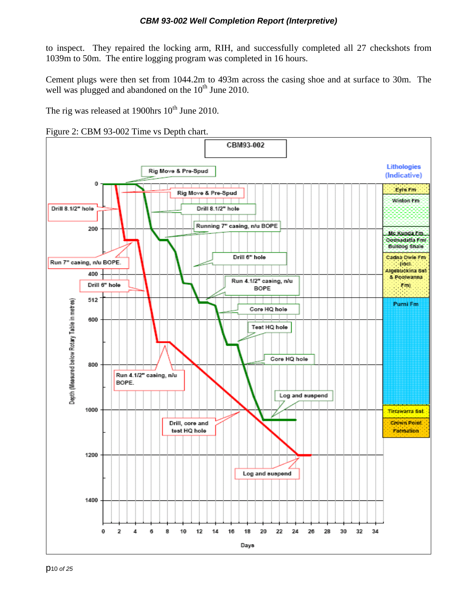to inspect. They repaired the locking arm, RIH, and successfully completed all 27 checkshots from 1039m to 50m. The entire logging program was completed in 16 hours.

Cement plugs were then set from 1044.2m to 493m across the casing shoe and at surface to 30m. The well was plugged and abandoned on the  $10<sup>th</sup>$  June 2010.

The rig was released at 1900hrs  $10^{th}$  June 2010.

<span id="page-9-0"></span>

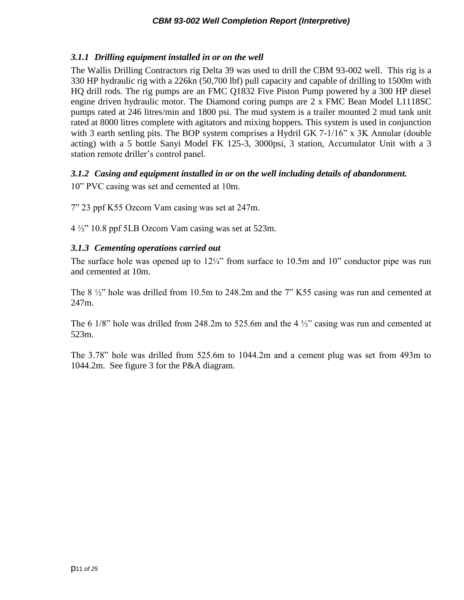### <span id="page-10-0"></span>*3.1.1 Drilling equipment installed in or on the well*

The Wallis Drilling Contractors rig Delta 39 was used to drill the CBM 93-002 well. This rig is a 330 HP hydraulic rig with a 226kn (50,700 lbf) pull capacity and capable of drilling to 1500m with HQ drill rods. The rig pumps are an FMC Q1832 Five Piston Pump powered by a 300 HP diesel engine driven hydraulic motor. The Diamond coring pumps are 2 x FMC Bean Model L1118SC pumps rated at 246 litres/min and 1800 psi. The mud system is a trailer mounted 2 mud tank unit rated at 8000 litres complete with agitators and mixing hoppers. This system is used in conjunction with 3 earth settling pits. The BOP system comprises a Hydril GK 7-1/16" x 3K Annular (double acting) with a 5 bottle Sanyi Model FK 125-3, 3000psi, 3 station, Accumulator Unit with a 3 station remote driller's control panel.

### <span id="page-10-1"></span>*3.1.2 Casing and equipment installed in or on the well including details of abandonment.*

10" PVC casing was set and cemented at 10m.

7" 23 ppf K55 Ozcom Vam casing was set at 247m.

4 ½" 10.8 ppf 5LB Ozcom Vam casing was set at 523m.

### <span id="page-10-2"></span>*3.1.3 Cementing operations carried out*

The surface hole was opened up to  $12\frac{1}{4}$ " from surface to 10.5m and 10" conductor pipe was run and cemented at 10m.

The 8 ½" hole was drilled from 10.5m to 248.2m and the 7" K55 casing was run and cemented at 247m.

The 6 1/8" hole was drilled from 248.2m to 525.6m and the 4  $\frac{1}{2}$ " casing was run and cemented at 523m.

The 3.78" hole was drilled from 525.6m to 1044.2m and a cement plug was set from 493m to 1044.2m. See figure 3 for the P&A diagram.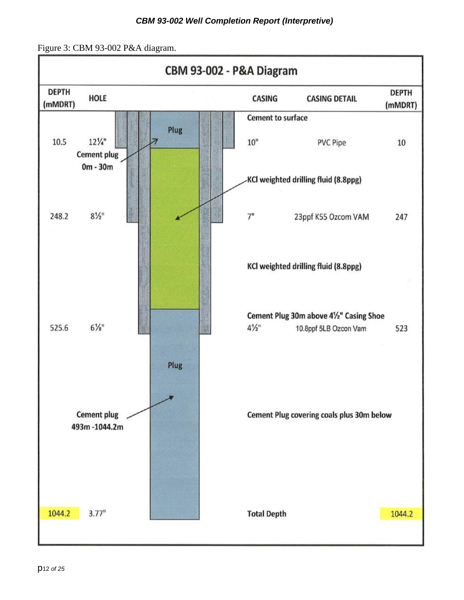<span id="page-11-0"></span>Figure 3: CBM 93-002 P&A diagram.

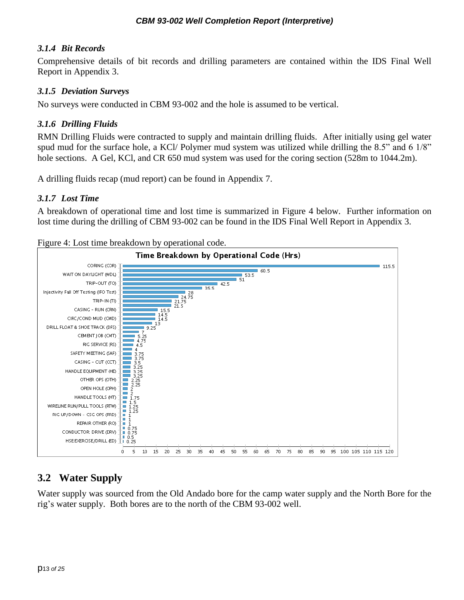#### <span id="page-12-0"></span>*3.1.4 Bit Records*

Comprehensive details of bit records and drilling parameters are contained within the IDS Final Well Report in Appendix 3.

#### <span id="page-12-1"></span>*3.1.5 Deviation Surveys*

No surveys were conducted in CBM 93-002 and the hole is assumed to be vertical.

#### <span id="page-12-2"></span>*3.1.6 Drilling Fluids*

RMN Drilling Fluids were contracted to supply and maintain drilling fluids. After initially using gel water spud mud for the surface hole, a KCl/ Polymer mud system was utilized while drilling the 8.5" and 6 1/8" hole sections. A Gel, KCl, and CR 650 mud system was used for the coring section (528m to 1044.2m).

<span id="page-12-3"></span>A drilling fluids recap (mud report) can be found in Appendix 7.

#### *3.1.7 Lost Time*

A breakdown of operational time and lost time is summarized in Figure 4 below. Further information on lost time during the drilling of CBM 93-002 can be found in the IDS Final Well Report in Appendix 3.

<span id="page-12-5"></span>Figure 4: Lost time breakdown by operational code.



### <span id="page-12-4"></span>**3.2 Water Supply**

Water supply was sourced from the Old Andado bore for the camp water supply and the North Bore for the rig's water supply. Both bores are to the north of the CBM 93-002 well.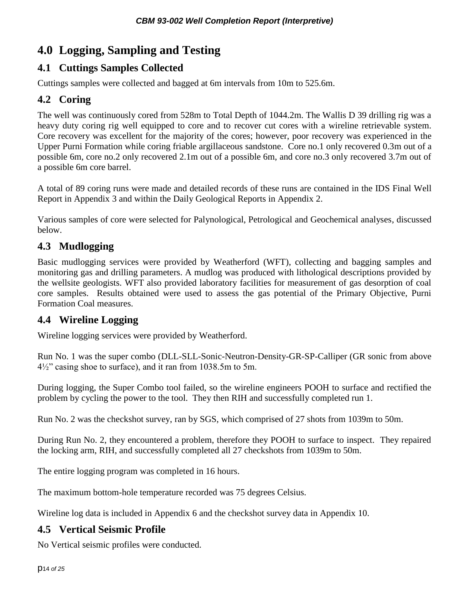# <span id="page-13-0"></span>**4.0 Logging, Sampling and Testing**

### <span id="page-13-1"></span>**4.1 Cuttings Samples Collected**

Cuttings samples were collected and bagged at 6m intervals from 10m to 525.6m.

### <span id="page-13-2"></span>**4.2 Coring**

The well was continuously cored from 528m to Total Depth of 1044.2m. The Wallis D 39 drilling rig was a heavy duty coring rig well equipped to core and to recover cut cores with a wireline retrievable system. Core recovery was excellent for the majority of the cores; however, poor recovery was experienced in the Upper Purni Formation while coring friable argillaceous sandstone. Core no.1 only recovered 0.3m out of a possible 6m, core no.2 only recovered 2.1m out of a possible 6m, and core no.3 only recovered 3.7m out of a possible 6m core barrel.

A total of 89 coring runs were made and detailed records of these runs are contained in the IDS Final Well Report in Appendix 3 and within the Daily Geological Reports in Appendix 2.

Various samples of core were selected for Palynological, Petrological and Geochemical analyses, discussed below.

### <span id="page-13-3"></span>**4.3 Mudlogging**

Basic mudlogging services were provided by Weatherford (WFT), collecting and bagging samples and monitoring gas and drilling parameters. A mudlog was produced with lithological descriptions provided by the wellsite geologists. WFT also provided laboratory facilities for measurement of gas desorption of coal core samples. Results obtained were used to assess the gas potential of the Primary Objective, Purni Formation Coal measures.

### <span id="page-13-4"></span>**4.4 Wireline Logging**

Wireline logging services were provided by Weatherford.

Run No. 1 was the super combo (DLL-SLL-Sonic-Neutron-Density-GR-SP-Calliper (GR sonic from above 4½" casing shoe to surface), and it ran from 1038.5m to 5m.

During logging, the Super Combo tool failed, so the wireline engineers POOH to surface and rectified the problem by cycling the power to the tool. They then RIH and successfully completed run 1.

Run No. 2 was the checkshot survey, ran by SGS, which comprised of 27 shots from 1039m to 50m.

During Run No. 2, they encountered a problem, therefore they POOH to surface to inspect. They repaired the locking arm, RIH, and successfully completed all 27 checkshots from 1039m to 50m.

The entire logging program was completed in 16 hours.

The maximum bottom-hole temperature recorded was 75 degrees Celsius.

Wireline log data is included in Appendix 6 and the checkshot survey data in Appendix 10.

### <span id="page-13-5"></span>**4.5 Vertical Seismic Profile**

No Vertical seismic profiles were conducted.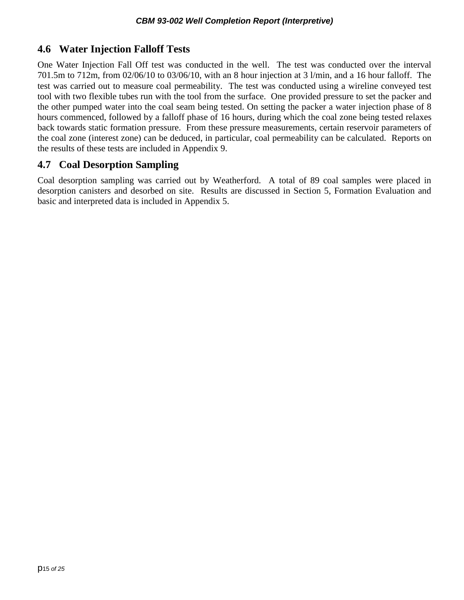### <span id="page-14-0"></span>**4.6 Water Injection Falloff Tests**

One Water Injection Fall Off test was conducted in the well. The test was conducted over the interval 701.5m to 712m, from 02/06/10 to 03/06/10, with an 8 hour injection at 3 l/min, and a 16 hour falloff. The test was carried out to measure coal permeability. The test was conducted using a wireline conveyed test tool with two flexible tubes run with the tool from the surface. One provided pressure to set the packer and the other pumped water into the coal seam being tested. On setting the packer a water injection phase of 8 hours commenced, followed by a falloff phase of 16 hours, during which the coal zone being tested relaxes back towards static formation pressure. From these pressure measurements, certain reservoir parameters of the coal zone (interest zone) can be deduced, in particular, coal permeability can be calculated. Reports on the results of these tests are included in Appendix 9.

### <span id="page-14-1"></span>**4.7 Coal Desorption Sampling**

Coal desorption sampling was carried out by Weatherford. A total of 89 coal samples were placed in desorption canisters and desorbed on site. Results are discussed in Section 5, Formation Evaluation and basic and interpreted data is included in Appendix 5.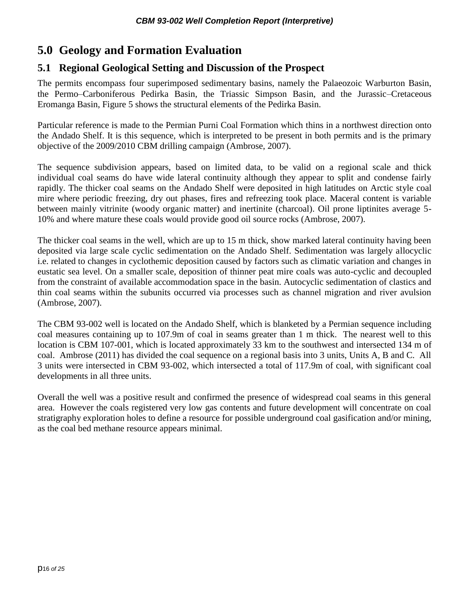# <span id="page-15-0"></span>**5.0 Geology and Formation Evaluation**

### <span id="page-15-1"></span>**5.1 Regional Geological Setting and Discussion of the Prospect**

The permits encompass four superimposed sedimentary basins, namely the Palaeozoic Warburton Basin, the Permo–Carboniferous Pedirka Basin, the Triassic Simpson Basin, and the Jurassic–Cretaceous Eromanga Basin, Figure 5 shows the structural elements of the Pedirka Basin.

Particular reference is made to the Permian Purni Coal Formation which thins in a northwest direction onto the Andado Shelf. It is this sequence, which is interpreted to be present in both permits and is the primary objective of the 2009/2010 CBM drilling campaign (Ambrose, 2007).

The sequence subdivision appears, based on limited data, to be valid on a regional scale and thick individual coal seams do have wide lateral continuity although they appear to split and condense fairly rapidly. The thicker coal seams on the Andado Shelf were deposited in high latitudes on Arctic style coal mire where periodic freezing, dry out phases, fires and refreezing took place. Maceral content is variable between mainly vitrinite (woody organic matter) and inertinite (charcoal). Oil prone liptinites average 5- 10% and where mature these coals would provide good oil source rocks (Ambrose, 2007).

The thicker coal seams in the well, which are up to 15 m thick, show marked lateral continuity having been deposited via large scale cyclic sedimentation on the Andado Shelf. Sedimentation was largely allocyclic i.e. related to changes in cyclothemic deposition caused by factors such as climatic variation and changes in eustatic sea level. On a smaller scale, deposition of thinner peat mire coals was auto-cyclic and decoupled from the constraint of available accommodation space in the basin. Autocyclic sedimentation of clastics and thin coal seams within the subunits occurred via processes such as channel migration and river avulsion (Ambrose, 2007).

The CBM 93-002 well is located on the Andado Shelf, which is blanketed by a Permian sequence including coal measures containing up to 107.9m of coal in seams greater than 1 m thick. The nearest well to this location is CBM 107-001, which is located approximately 33 km to the southwest and intersected 134 m of coal. Ambrose (2011) has divided the coal sequence on a regional basis into 3 units, Units A, B and C. All 3 units were intersected in CBM 93-002, which intersected a total of 117.9m of coal, with significant coal developments in all three units.

Overall the well was a positive result and confirmed the presence of widespread coal seams in this general area. However the coals registered very low gas contents and future development will concentrate on coal stratigraphy exploration holes to define a resource for possible underground coal gasification and/or mining, as the coal bed methane resource appears minimal.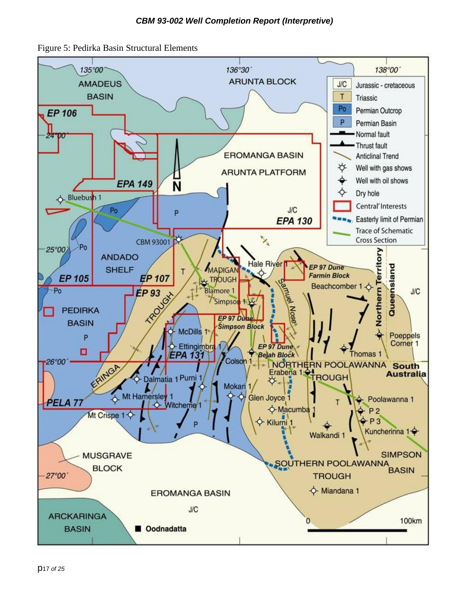<span id="page-16-0"></span>Figure 5: Pedirka Basin Structural Elements

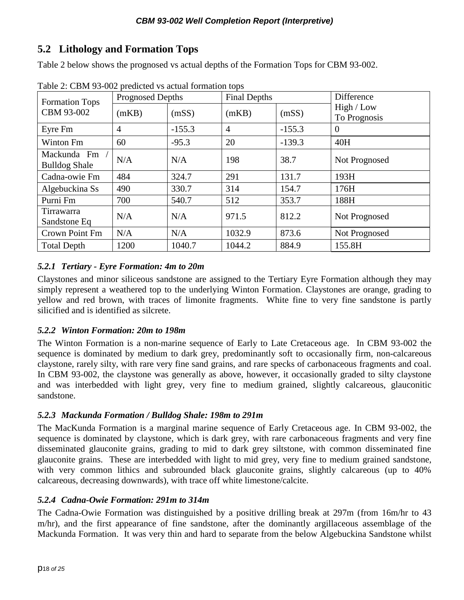### <span id="page-17-0"></span>**5.2 Lithology and Formation Tops**

Table 2 below shows the prognosed vs actual depths of the Formation Tops for CBM 93-002.

| <b>Formation Tops</b>               | <b>Prognosed Depths</b> |          | <b>Final Depths</b> |          | Difference                 |  |
|-------------------------------------|-------------------------|----------|---------------------|----------|----------------------------|--|
| CBM 93-002                          | (mKB)                   | (mSS)    | (mKB)               | (mSS)    | High / Low<br>To Prognosis |  |
| Eyre Fm                             | $\overline{4}$          | $-155.3$ | $\overline{4}$      | $-155.3$ | $\theta$                   |  |
| <b>Winton Fm</b>                    | 60                      | $-95.3$  | 20                  | $-139.3$ | 40H                        |  |
| Mackunda Fm<br><b>Bulldog Shale</b> | N/A                     | N/A      | 198                 | 38.7     | Not Prognosed              |  |
| Cadna-owie Fm                       | 484                     | 324.7    | 291                 | 131.7    | 193H                       |  |
| Algebuckina Ss                      | 490                     | 330.7    | 314                 | 154.7    | 176H                       |  |
| Purni Fm                            | 700                     | 540.7    | 512                 | 353.7    | 188H                       |  |
| Tirrawarra<br>Sandstone Eq          | N/A                     | N/A      | 971.5               | 812.2    | Not Prognosed              |  |
| Crown Point Fm                      | N/A                     | N/A      | 1032.9              | 873.6    | Not Prognosed              |  |
| <b>Total Depth</b>                  | 1200                    | 1040.7   | 1044.2              | 884.9    | 155.8H                     |  |

Table 2: CBM 93-002 predicted vs actual formation tops

### <span id="page-17-1"></span>*5.2.1 Tertiary - Eyre Formation: 4m to 20m*

Claystones and minor siliceous sandstone are assigned to the Tertiary Eyre Formation although they may simply represent a weathered top to the underlying Winton Formation. Claystones are orange, grading to yellow and red brown, with traces of limonite fragments. White fine to very fine sandstone is partly silicified and is identified as silcrete.

### <span id="page-17-2"></span>*5.2.2 Winton Formation: 20m to 198m*

The Winton Formation is a non-marine sequence of Early to Late Cretaceous age. In CBM 93-002 the sequence is dominated by medium to dark grey, predominantly soft to occasionally firm, non-calcareous claystone, rarely silty, with rare very fine sand grains, and rare specks of carbonaceous fragments and coal. In CBM 93-002, the claystone was generally as above, however, it occasionally graded to silty claystone and was interbedded with light grey, very fine to medium grained, slightly calcareous, glauconitic sandstone.

### <span id="page-17-3"></span>*5.2.3 Mackunda Formation / Bulldog Shale: 198m to 291m*

The MacKunda Formation is a marginal marine sequence of Early Cretaceous age. In CBM 93-002, the sequence is dominated by claystone, which is dark grey, with rare carbonaceous fragments and very fine disseminated glauconite grains, grading to mid to dark grey siltstone, with common disseminated fine glauconite grains. These are interbedded with light to mid grey, very fine to medium grained sandstone, with very common lithics and subrounded black glauconite grains, slightly calcareous (up to 40%) calcareous, decreasing downwards), with trace off white limestone/calcite.

### <span id="page-17-4"></span>*5.2.4 Cadna-Owie Formation: 291m to 314m*

The Cadna-Owie Formation was distinguished by a positive drilling break at 297m (from 16m/hr to 43 m/hr), and the first appearance of fine sandstone, after the dominantly argillaceous assemblage of the Mackunda Formation. It was very thin and hard to separate from the below Algebuckina Sandstone whilst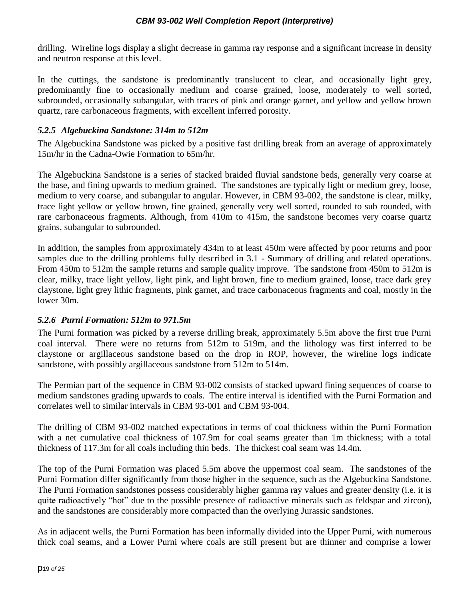drilling. Wireline logs display a slight decrease in gamma ray response and a significant increase in density and neutron response at this level.

In the cuttings, the sandstone is predominantly translucent to clear, and occasionally light grey, predominantly fine to occasionally medium and coarse grained, loose, moderately to well sorted, subrounded, occasionally subangular, with traces of pink and orange garnet, and yellow and yellow brown quartz, rare carbonaceous fragments, with excellent inferred porosity.

#### <span id="page-18-0"></span>*5.2.5 Algebuckina Sandstone: 314m to 512m*

The Algebuckina Sandstone was picked by a positive fast drilling break from an average of approximately 15m/hr in the Cadna-Owie Formation to 65m/hr.

The Algebuckina Sandstone is a series of stacked braided fluvial sandstone beds, generally very coarse at the base, and fining upwards to medium grained. The sandstones are typically light or medium grey, loose, medium to very coarse, and subangular to angular. However, in CBM 93-002, the sandstone is clear, milky, trace light yellow or yellow brown, fine grained, generally very well sorted, rounded to sub rounded, with rare carbonaceous fragments. Although, from 410m to 415m, the sandstone becomes very coarse quartz grains, subangular to subrounded.

In addition, the samples from approximately 434m to at least 450m were affected by poor returns and poor samples due to the drilling problems fully described in 3.1 - Summary of drilling and related operations. From 450m to 512m the sample returns and sample quality improve. The sandstone from 450m to 512m is clear, milky, trace light yellow, light pink, and light brown, fine to medium grained, loose, trace dark grey claystone, light grey lithic fragments, pink garnet, and trace carbonaceous fragments and coal, mostly in the lower 30m.

### <span id="page-18-1"></span>*5.2.6 Purni Formation: 512m to 971.5m*

The Purni formation was picked by a reverse drilling break, approximately 5.5m above the first true Purni coal interval. There were no returns from 512m to 519m, and the lithology was first inferred to be claystone or argillaceous sandstone based on the drop in ROP, however, the wireline logs indicate sandstone, with possibly argillaceous sandstone from 512m to 514m.

The Permian part of the sequence in CBM 93-002 consists of stacked upward fining sequences of coarse to medium sandstones grading upwards to coals. The entire interval is identified with the Purni Formation and correlates well to similar intervals in CBM 93-001 and CBM 93-004.

The drilling of CBM 93-002 matched expectations in terms of coal thickness within the Purni Formation with a net cumulative coal thickness of 107.9m for coal seams greater than 1m thickness; with a total thickness of 117.3m for all coals including thin beds. The thickest coal seam was 14.4m.

The top of the Purni Formation was placed 5.5m above the uppermost coal seam. The sandstones of the Purni Formation differ significantly from those higher in the sequence, such as the Algebuckina Sandstone. The Purni Formation sandstones possess considerably higher gamma ray values and greater density (i.e. it is quite radioactively "hot" due to the possible presence of radioactive minerals such as feldspar and zircon), and the sandstones are considerably more compacted than the overlying Jurassic sandstones.

As in adjacent wells, the Purni Formation has been informally divided into the Upper Purni, with numerous thick coal seams, and a Lower Purni where coals are still present but are thinner and comprise a lower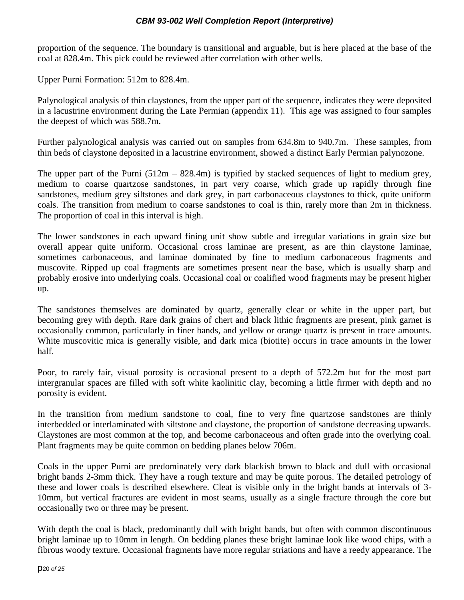proportion of the sequence. The boundary is transitional and arguable, but is here placed at the base of the coal at 828.4m. This pick could be reviewed after correlation with other wells.

Upper Purni Formation: 512m to 828.4m.

Palynological analysis of thin claystones, from the upper part of the sequence, indicates they were deposited in a lacustrine environment during the Late Permian (appendix 11). This age was assigned to four samples the deepest of which was 588.7m.

Further palynological analysis was carried out on samples from 634.8m to 940.7m. These samples, from thin beds of claystone deposited in a lacustrine environment, showed a distinct Early Permian palynozone.

The upper part of the Purni  $(512m - 828.4m)$  is typified by stacked sequences of light to medium grey, medium to coarse quartzose sandstones, in part very coarse, which grade up rapidly through fine sandstones, medium grey siltstones and dark grey, in part carbonaceous claystones to thick, quite uniform coals. The transition from medium to coarse sandstones to coal is thin, rarely more than 2m in thickness. The proportion of coal in this interval is high.

The lower sandstones in each upward fining unit show subtle and irregular variations in grain size but overall appear quite uniform. Occasional cross laminae are present, as are thin claystone laminae, sometimes carbonaceous, and laminae dominated by fine to medium carbonaceous fragments and muscovite. Ripped up coal fragments are sometimes present near the base, which is usually sharp and probably erosive into underlying coals. Occasional coal or coalified wood fragments may be present higher up.

The sandstones themselves are dominated by quartz, generally clear or white in the upper part, but becoming grey with depth. Rare dark grains of chert and black lithic fragments are present, pink garnet is occasionally common, particularly in finer bands, and yellow or orange quartz is present in trace amounts. White muscovitic mica is generally visible, and dark mica (biotite) occurs in trace amounts in the lower half.

Poor, to rarely fair, visual porosity is occasional present to a depth of 572.2m but for the most part intergranular spaces are filled with soft white kaolinitic clay, becoming a little firmer with depth and no porosity is evident.

In the transition from medium sandstone to coal, fine to very fine quartzose sandstones are thinly interbedded or interlaminated with siltstone and claystone, the proportion of sandstone decreasing upwards. Claystones are most common at the top, and become carbonaceous and often grade into the overlying coal. Plant fragments may be quite common on bedding planes below 706m.

Coals in the upper Purni are predominately very dark blackish brown to black and dull with occasional bright bands 2-3mm thick. They have a rough texture and may be quite porous. The detailed petrology of these and lower coals is described elsewhere. Cleat is visible only in the bright bands at intervals of 3- 10mm, but vertical fractures are evident in most seams, usually as a single fracture through the core but occasionally two or three may be present.

With depth the coal is black, predominantly dull with bright bands, but often with common discontinuous bright laminae up to 10mm in length. On bedding planes these bright laminae look like wood chips, with a fibrous woody texture. Occasional fragments have more regular striations and have a reedy appearance. The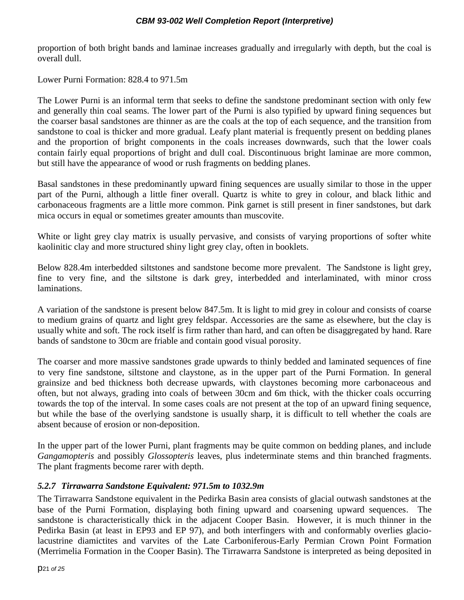proportion of both bright bands and laminae increases gradually and irregularly with depth, but the coal is overall dull.

Lower Purni Formation: 828.4 to 971.5m

The Lower Purni is an informal term that seeks to define the sandstone predominant section with only few and generally thin coal seams. The lower part of the Purni is also typified by upward fining sequences but the coarser basal sandstones are thinner as are the coals at the top of each sequence, and the transition from sandstone to coal is thicker and more gradual. Leafy plant material is frequently present on bedding planes and the proportion of bright components in the coals increases downwards, such that the lower coals contain fairly equal proportions of bright and dull coal. Discontinuous bright laminae are more common, but still have the appearance of wood or rush fragments on bedding planes.

Basal sandstones in these predominantly upward fining sequences are usually similar to those in the upper part of the Purni, although a little finer overall. Quartz is white to grey in colour, and black lithic and carbonaceous fragments are a little more common. Pink garnet is still present in finer sandstones, but dark mica occurs in equal or sometimes greater amounts than muscovite.

White or light grey clay matrix is usually pervasive, and consists of varying proportions of softer white kaolinitic clay and more structured shiny light grey clay, often in booklets.

Below 828.4m interbedded siltstones and sandstone become more prevalent. The Sandstone is light grey, fine to very fine, and the siltstone is dark grey, interbedded and interlaminated, with minor cross laminations.

A variation of the sandstone is present below 847.5m. It is light to mid grey in colour and consists of coarse to medium grains of quartz and light grey feldspar. Accessories are the same as elsewhere, but the clay is usually white and soft. The rock itself is firm rather than hard, and can often be disaggregated by hand. Rare bands of sandstone to 30cm are friable and contain good visual porosity.

The coarser and more massive sandstones grade upwards to thinly bedded and laminated sequences of fine to very fine sandstone, siltstone and claystone, as in the upper part of the Purni Formation. In general grainsize and bed thickness both decrease upwards, with claystones becoming more carbonaceous and often, but not always, grading into coals of between 30cm and 6m thick, with the thicker coals occurring towards the top of the interval. In some cases coals are not present at the top of an upward fining sequence, but while the base of the overlying sandstone is usually sharp, it is difficult to tell whether the coals are absent because of erosion or non-deposition.

In the upper part of the lower Purni, plant fragments may be quite common on bedding planes, and include *Gangamopteris* and possibly *Glossopteris* leaves, plus indeterminate stems and thin branched fragments. The plant fragments become rarer with depth.

### <span id="page-20-0"></span>*5.2.7 Tirrawarra Sandstone Equivalent: 971.5m to 1032.9m*

The Tirrawarra Sandstone equivalent in the Pedirka Basin area consists of glacial outwash sandstones at the base of the Purni Formation, displaying both fining upward and coarsening upward sequences. The sandstone is characteristically thick in the adjacent Cooper Basin. However, it is much thinner in the Pedirka Basin (at least in EP93 and EP 97), and both interfingers with and conformably overlies glaciolacustrine diamictites and varvites of the Late Carboniferous-Early Permian Crown Point Formation (Merrimelia Formation in the Cooper Basin). The Tirrawarra Sandstone is interpreted as being deposited in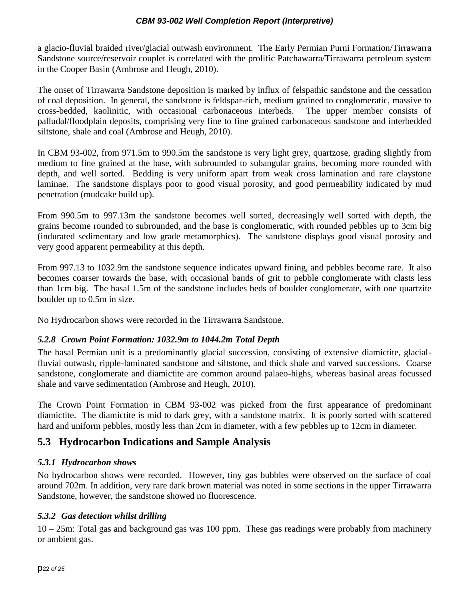a glacio-fluvial braided river/glacial outwash environment. The Early Permian Purni Formation/Tirrawarra Sandstone source/reservoir couplet is correlated with the prolific Patchawarra/Tirrawarra petroleum system in the Cooper Basin (Ambrose and Heugh, 2010).

The onset of Tirrawarra Sandstone deposition is marked by influx of felspathic sandstone and the cessation of coal deposition. In general, the sandstone is feldspar-rich, medium grained to conglomeratic, massive to cross-bedded, kaolinitic, with occasional carbonaceous interbeds. The upper member consists of palludal/floodplain deposits, comprising very fine to fine grained carbonaceous sandstone and interbedded siltstone, shale and coal (Ambrose and Heugh, 2010).

In CBM 93-002, from 971.5m to 990.5m the sandstone is very light grey, quartzose, grading slightly from medium to fine grained at the base, with subrounded to subangular grains, becoming more rounded with depth, and well sorted. Bedding is very uniform apart from weak cross lamination and rare claystone laminae. The sandstone displays poor to good visual porosity, and good permeability indicated by mud penetration (mudcake build up).

From 990.5m to 997.13m the sandstone becomes well sorted, decreasingly well sorted with depth, the grains become rounded to subrounded, and the base is conglomeratic, with rounded pebbles up to 3cm big (indurated sedimentary and low grade metamorphics). The sandstone displays good visual porosity and very good apparent permeability at this depth.

From 997.13 to 1032.9m the sandstone sequence indicates upward fining, and pebbles become rare. It also becomes coarser towards the base, with occasional bands of grit to pebble conglomerate with clasts less than 1cm big. The basal 1.5m of the sandstone includes beds of boulder conglomerate, with one quartzite boulder up to 0.5m in size.

No Hydrocarbon shows were recorded in the Tirrawarra Sandstone.

### <span id="page-21-0"></span>*5.2.8 Crown Point Formation: 1032.9m to 1044.2m Total Depth*

The basal Permian unit is a predominantly glacial succession, consisting of extensive diamictite, glacialfluvial outwash, ripple-laminated sandstone and siltstone, and thick shale and varved successions. Coarse sandstone, conglomerate and diamictite are common around palaeo-highs, whereas basinal areas focussed shale and varve sedimentation (Ambrose and Heugh, 2010).

The Crown Point Formation in CBM 93-002 was picked from the first appearance of predominant diamictite. The diamictite is mid to dark grey, with a sandstone matrix. It is poorly sorted with scattered hard and uniform pebbles, mostly less than 2cm in diameter, with a few pebbles up to 12cm in diameter.

### <span id="page-21-1"></span>**5.3 Hydrocarbon Indications and Sample Analysis**

### <span id="page-21-2"></span>*5.3.1 Hydrocarbon shows*

No hydrocarbon shows were recorded. However, tiny gas bubbles were observed on the surface of coal around 702m. In addition, very rare dark brown material was noted in some sections in the upper Tirrawarra Sandstone, however, the sandstone showed no fluorescence.

### <span id="page-21-3"></span>*5.3.2 Gas detection whilst drilling*

10 – 25m: Total gas and background gas was 100 ppm. These gas readings were probably from machinery or ambient gas.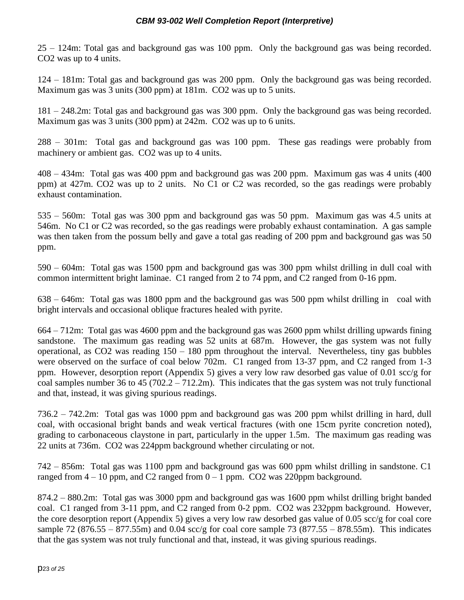25 – 124m: Total gas and background gas was 100 ppm. Only the background gas was being recorded. CO2 was up to 4 units.

124 – 181m: Total gas and background gas was 200 ppm. Only the background gas was being recorded. Maximum gas was 3 units (300 ppm) at 181m. CO2 was up to 5 units.

181 – 248.2m: Total gas and background gas was 300 ppm. Only the background gas was being recorded. Maximum gas was 3 units (300 ppm) at 242m. CO2 was up to 6 units.

288 – 301m: Total gas and background gas was 100 ppm. These gas readings were probably from machinery or ambient gas. CO2 was up to 4 units.

408 – 434m: Total gas was 400 ppm and background gas was 200 ppm. Maximum gas was 4 units (400 ppm) at 427m. CO2 was up to 2 units. No C1 or C2 was recorded, so the gas readings were probably exhaust contamination.

535 – 560m: Total gas was 300 ppm and background gas was 50 ppm. Maximum gas was 4.5 units at 546m. No C1 or C2 was recorded, so the gas readings were probably exhaust contamination. A gas sample was then taken from the possum belly and gave a total gas reading of 200 ppm and background gas was 50 ppm.

590 – 604m: Total gas was 1500 ppm and background gas was 300 ppm whilst drilling in dull coal with common intermittent bright laminae. C1 ranged from 2 to 74 ppm, and C2 ranged from 0-16 ppm.

638 – 646m: Total gas was 1800 ppm and the background gas was 500 ppm whilst drilling in coal with bright intervals and occasional oblique fractures healed with pyrite.

664 – 712m: Total gas was 4600 ppm and the background gas was 2600 ppm whilst drilling upwards fining sandstone. The maximum gas reading was 52 units at 687m. However, the gas system was not fully operational, as  $CO2$  was reading  $150 - 180$  ppm throughout the interval. Nevertheless, tiny gas bubbles were observed on the surface of coal below 702m. C1 ranged from 13-37 ppm, and C2 ranged from 1-3 ppm. However, desorption report (Appendix 5) gives a very low raw desorbed gas value of 0.01 scc/g for coal samples number 36 to 45 (702.2 – 712.2m). This indicates that the gas system was not truly functional and that, instead, it was giving spurious readings.

736.2 – 742.2m: Total gas was 1000 ppm and background gas was 200 ppm whilst drilling in hard, dull coal, with occasional bright bands and weak vertical fractures (with one 15cm pyrite concretion noted), grading to carbonaceous claystone in part, particularly in the upper 1.5m. The maximum gas reading was 22 units at 736m. CO2 was 224ppm background whether circulating or not.

742 – 856m: Total gas was 1100 ppm and background gas was 600 ppm whilst drilling in sandstone. C1 ranged from  $4 - 10$  ppm, and C2 ranged from  $0 - 1$  ppm. CO2 was 220ppm background.

874.2 – 880.2m: Total gas was 3000 ppm and background gas was 1600 ppm whilst drilling bright banded coal. C1 ranged from 3-11 ppm, and C2 ranged from 0-2 ppm. CO2 was 232ppm background. However, the core desorption report (Appendix 5) gives a very low raw desorbed gas value of 0.05 scc/g for coal core sample 72 (876.55 – 877.55m) and 0.04 scc/g for coal core sample 73 (877.55 – 878.55m). This indicates that the gas system was not truly functional and that, instead, it was giving spurious readings.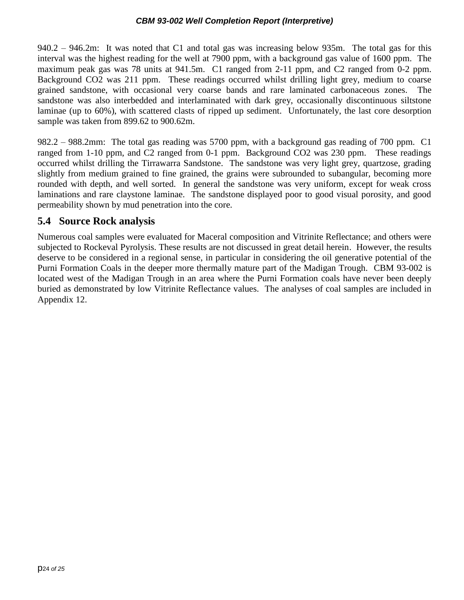940.2 – 946.2m: It was noted that C1 and total gas was increasing below 935m. The total gas for this interval was the highest reading for the well at 7900 ppm, with a background gas value of 1600 ppm. The maximum peak gas was 78 units at 941.5m. C1 ranged from 2-11 ppm, and C2 ranged from 0-2 ppm. Background CO2 was 211 ppm. These readings occurred whilst drilling light grey, medium to coarse grained sandstone, with occasional very coarse bands and rare laminated carbonaceous zones. The sandstone was also interbedded and interlaminated with dark grey, occasionally discontinuous siltstone laminae (up to 60%), with scattered clasts of ripped up sediment. Unfortunately, the last core desorption sample was taken from 899.62 to 900.62m.

982.2 – 988.2mm: The total gas reading was 5700 ppm, with a background gas reading of 700 ppm. C1 ranged from 1-10 ppm, and C2 ranged from 0-1 ppm. Background CO2 was 230 ppm. These readings occurred whilst drilling the Tirrawarra Sandstone. The sandstone was very light grey, quartzose, grading slightly from medium grained to fine grained, the grains were subrounded to subangular, becoming more rounded with depth, and well sorted. In general the sandstone was very uniform, except for weak cross laminations and rare claystone laminae. The sandstone displayed poor to good visual porosity, and good permeability shown by mud penetration into the core.

### <span id="page-23-0"></span>**5.4 Source Rock analysis**

Numerous coal samples were evaluated for Maceral composition and Vitrinite Reflectance; and others were subjected to Rockeval Pyrolysis. These results are not discussed in great detail herein. However, the results deserve to be considered in a regional sense, in particular in considering the oil generative potential of the Purni Formation Coals in the deeper more thermally mature part of the Madigan Trough. CBM 93-002 is located west of the Madigan Trough in an area where the Purni Formation coals have never been deeply buried as demonstrated by low Vitrinite Reflectance values. The analyses of coal samples are included in Appendix 12.